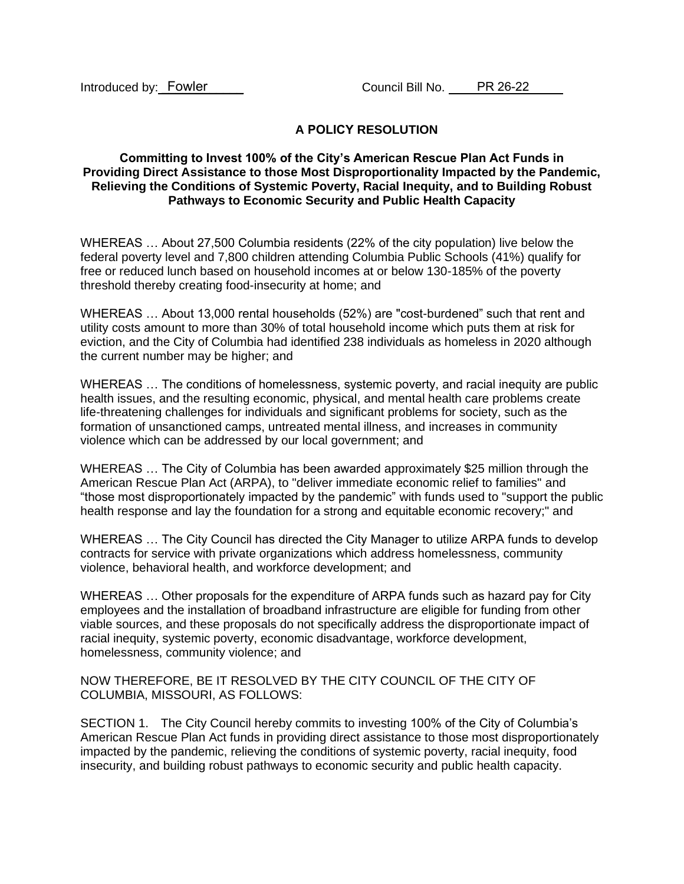Introduced by: Fowler

## **A POLICY RESOLUTION**

## **Committing to Invest 100% of the City's American Rescue Plan Act Funds in Providing Direct Assistance to those Most Disproportionality Impacted by the Pandemic, Relieving the Conditions of Systemic Poverty, Racial Inequity, and to Building Robust Pathways to Economic Security and Public Health Capacity**

WHEREAS … About 27,500 Columbia residents (22% of the city population) live below the federal poverty level and 7,800 children attending Columbia Public Schools (41%) qualify for free or reduced lunch based on household incomes at or below 130-185% of the poverty threshold thereby creating food-insecurity at home; and

WHEREAS … About 13,000 rental households (52%) are "cost-burdened" such that rent and utility costs amount to more than 30% of total household income which puts them at risk for eviction, and the City of Columbia had identified 238 individuals as homeless in 2020 although the current number may be higher; and

WHEREAS … The conditions of homelessness, systemic poverty, and racial inequity are public health issues, and the resulting economic, physical, and mental health care problems create life-threatening challenges for individuals and significant problems for society, such as the formation of unsanctioned camps, untreated mental illness, and increases in community violence which can be addressed by our local government; and

WHEREAS … The City of Columbia has been awarded approximately \$25 million through the American Rescue Plan Act (ARPA), to "deliver immediate economic relief to families" and "those most disproportionately impacted by the pandemic" with funds used to "support the public health response and lay the foundation for a strong and equitable economic recovery;" and

WHEREAS … The City Council has directed the City Manager to utilize ARPA funds to develop contracts for service with private organizations which address homelessness, community violence, behavioral health, and workforce development; and

WHEREAS … Other proposals for the expenditure of ARPA funds such as hazard pay for City employees and the installation of broadband infrastructure are eligible for funding from other viable sources, and these proposals do not specifically address the disproportionate impact of racial inequity, systemic poverty, economic disadvantage, workforce development, homelessness, community violence; and

NOW THEREFORE, BE IT RESOLVED BY THE CITY COUNCIL OF THE CITY OF COLUMBIA, MISSOURI, AS FOLLOWS:

SECTION 1. The City Council hereby commits to investing 100% of the City of Columbia's American Rescue Plan Act funds in providing direct assistance to those most disproportionately impacted by the pandemic, relieving the conditions of systemic poverty, racial inequity, food insecurity, and building robust pathways to economic security and public health capacity.